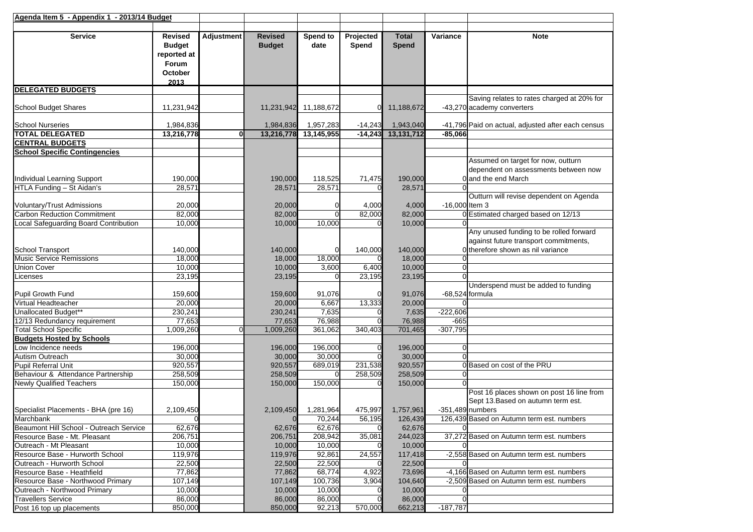| Agenda Item 5 - Appendix 1 - 2013/14 Budget               |                                                                            |                   |                                 |                   |                    |                       |                |                                                                                                   |
|-----------------------------------------------------------|----------------------------------------------------------------------------|-------------------|---------------------------------|-------------------|--------------------|-----------------------|----------------|---------------------------------------------------------------------------------------------------|
| <b>Service</b>                                            | <b>Revised</b><br><b>Budget</b><br>reported at<br>Forum<br>October<br>2013 | <b>Adjustment</b> | <b>Revised</b><br><b>Budget</b> | Spend to<br>date  | Projected<br>Spend | <b>Total</b><br>Spend | Variance       | <b>Note</b>                                                                                       |
| <b>DELEGATED BUDGETS</b>                                  |                                                                            |                   |                                 |                   |                    |                       |                |                                                                                                   |
| School Budget Shares                                      | 11,231,942                                                                 |                   | 11,231,942                      | 11,188,672        |                    | 11,188,672            |                | Saving relates to rates charged at 20% for<br>-43,270 academy converters                          |
| <b>School Nurseries</b>                                   | 1,984,836                                                                  |                   | 1,984,836                       | 1,957,283         | $-14,243$          | 1,943,040             |                | -41,796 Paid on actual, adjusted after each census                                                |
| <b>TOTAL DELEGATED</b>                                    | 13,216,778                                                                 | 0                 | 13,216,778                      | 13,145,955        | $-14,243$          | 13,131,712            | $-85,066$      |                                                                                                   |
| <b>CENTRAL BUDGETS</b>                                    |                                                                            |                   |                                 |                   |                    |                       |                |                                                                                                   |
| <b>School Specific Contingencies</b>                      |                                                                            |                   |                                 |                   |                    |                       |                |                                                                                                   |
| Individual Learning Support<br>HTLA Funding - St Aidan's  | 190,000<br>28,571                                                          |                   | 190,000<br>28,571               | 118,525<br>28,571 | 71,475             | 190,000<br>28,571     |                | Assumed on target for now, outturn<br>dependent on assessments between now<br>0 and the end March |
|                                                           |                                                                            |                   |                                 |                   |                    |                       |                | Outturn will revise dependent on Agenda                                                           |
| <b>Voluntary/Trust Admissions</b>                         | 20,000                                                                     |                   | 20,000                          | 0                 | 4,000              | 4,000                 | -16,000 Item 3 |                                                                                                   |
| <b>Carbon Reduction Commitment</b>                        | 82,000                                                                     |                   | 82,000                          | $\overline{0}$    | 82,000             | 82,000                |                | 0 Estimated charged based on 12/13                                                                |
| Local Safeguarding Board Contribution                     | 10,000                                                                     |                   | 10,000                          | 10,000            |                    | 10,000                |                |                                                                                                   |
|                                                           |                                                                            |                   |                                 |                   |                    |                       |                | Any unused funding to be rolled forward<br>against future transport commitments,                  |
| School Transport                                          | 140,000                                                                    |                   | 140,000                         | 0                 | 140,000            | 140,000               |                | O therefore shown as nil variance                                                                 |
| <b>Music Service Remissions</b>                           | 18,000                                                                     |                   | 18,000                          | 18,000            |                    | 18,000                |                |                                                                                                   |
| <b>Union Cover</b>                                        | 10,000                                                                     |                   | 10,000                          | 3,600             | 6,400              | 10,000                |                |                                                                                                   |
| Licenses                                                  | 23,195                                                                     |                   | 23,195                          | $\Omega$          | 23,195             | 23,195                |                |                                                                                                   |
| Pupil Growth Fund                                         | 159,600                                                                    |                   | 159,600                         | 91,076            |                    | 91,076                |                | Underspend must be added to funding<br>-68,524 formula                                            |
| Virtual Headteacher                                       | 20,000                                                                     |                   | 20,000                          | 6,667             | 13,333             | 20,000                |                |                                                                                                   |
| Unallocated Budget**                                      | 230,241                                                                    |                   | 230,241                         | 7,635             |                    | 7,635                 | $-222,606$     |                                                                                                   |
| 12/13 Redundancy requirement                              | 77,653                                                                     |                   | 77,653                          | 76,988            |                    | 76,988                | $-665$         |                                                                                                   |
| <b>Total School Specific</b>                              | 1,009,260                                                                  | 0                 | 1,009,260                       | 361,062           | 340,403            | 701,465               | $-307,795$     |                                                                                                   |
| <b>Budgets Hosted by Schools</b>                          |                                                                            |                   |                                 |                   |                    |                       |                |                                                                                                   |
| Low Incidence needs                                       | 196,000                                                                    |                   | 196,000                         | 196,000           |                    | 196,000               |                |                                                                                                   |
| Autism Outreach                                           | 30,000                                                                     |                   | 30,000                          | 30,000            |                    | 30,000                |                |                                                                                                   |
| <b>Pupil Referral Unit</b>                                | 920,557                                                                    |                   | 920,557                         | 689,019           | 231,538            | 920,557               |                | 0 Based on cost of the PRU                                                                        |
| Behaviour & Attendance Partnership                        | 258,509                                                                    |                   | 258,509                         | $\Omega$          | 258,509            | 258,509               |                |                                                                                                   |
| <b>Newly Qualified Teachers</b>                           | 150,000                                                                    |                   | 150,000                         | 150,000           |                    | 150,000               |                |                                                                                                   |
|                                                           |                                                                            |                   |                                 |                   |                    |                       |                | Post 16 places shown on post 16 line from<br>Sept 13. Based on autumn term est.                   |
| Specialist Placements - BHA (pre 16)                      | 2,109,450                                                                  |                   | 2,109,450                       | 1,281,964         | 475,997            | 1,757,961             |                | $-351,489$ numbers                                                                                |
| Marchbank                                                 | $\Omega$                                                                   |                   | $\Omega$                        | 70,244            | 56,195             | 126,439               |                | 126,439 Based on Autumn term est. numbers                                                         |
| Beaumont Hill School - Outreach Service                   | 62,676                                                                     |                   | 62,676                          | 62,676            |                    | 62,676                |                |                                                                                                   |
| Resource Base - Mt. Pleasant                              | 206,751                                                                    |                   | 206,751                         | 208,942           | 35,081             | 244,023               |                | 37,272 Based on Autumn term est. numbers                                                          |
| Outreach - Mt Pleasant                                    | 10,000<br>119.976                                                          |                   | 10,000                          | 10,000            |                    | 10,000                |                |                                                                                                   |
| Resource Base - Hurworth School                           |                                                                            |                   | 119.976                         | 92,861            | 24,557             | 117,418               |                | -2,558 Based on Autumn term est. numbers                                                          |
| Outreach - Hurworth School<br>Resource Base - Heathfield  | 22,500                                                                     |                   | 22,500                          | 22,500            |                    | 22,500<br>73,696      |                | -4,166 Based on Autumn term est. numbers                                                          |
| Resource Base - Northwood Primary                         | 77,862                                                                     |                   | 77,862                          | 68,774            | 4,922              |                       |                |                                                                                                   |
|                                                           | 107,149                                                                    |                   | 107,149                         | 100,736           | 3,904              | 104,640               |                | -2,509 Based on Autumn term est. numbers                                                          |
| Outreach - Northwood Primary<br><b>Travellers Service</b> | 10,000<br>86,000                                                           |                   | 10,000                          | 10,000            |                    | 10,000                |                |                                                                                                   |
|                                                           | 850,000                                                                    |                   | 86,000                          | 86,000<br>92,213  | 570,000            | 86,000                | $-187,787$     |                                                                                                   |
| Post 16 top up placements                                 |                                                                            |                   | 850,000                         |                   |                    | 662,213               |                |                                                                                                   |